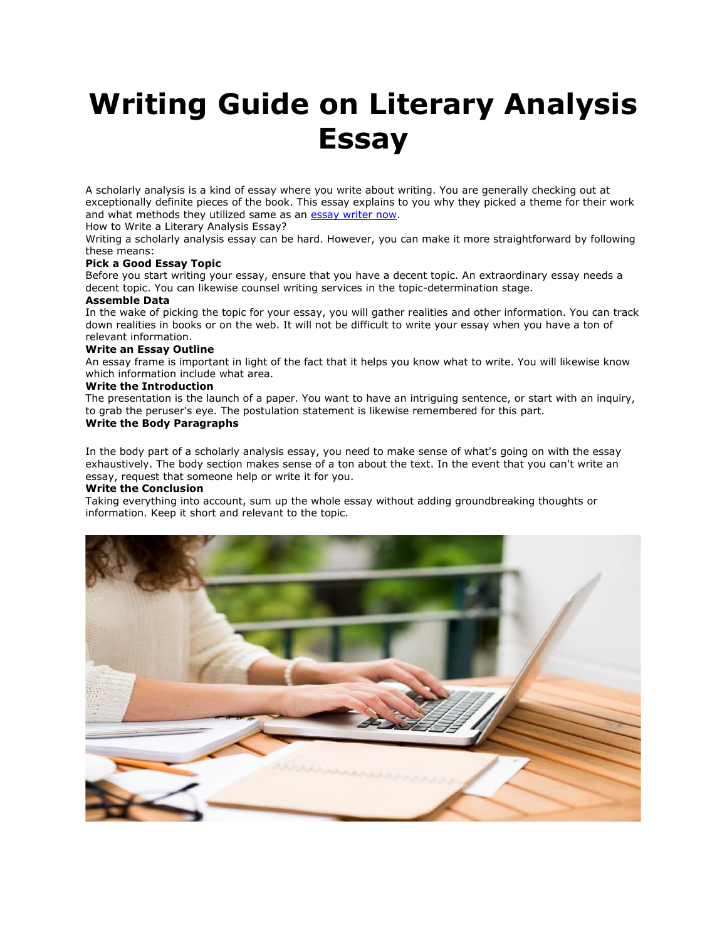# **Writing Guide on Literary Analysis Essay**

A scholarly analysis is a kind of essay where you write about writing. You are generally checking out at exceptionally definite pieces of the book. This essay explains to you why they picked a theme for their work and what methods they utilized same as an **essay writer now**.

How to Write a Literary Analysis Essay?

Writing a scholarly analysis essay can be hard. However, you can make it more straightforward by following these means:

### **Pick a Good Essay Topic**

Before you start writing your essay, ensure that you have a decent topic. An extraordinary essay needs a decent topic. You can likewise counsel writing services in the topic-determination stage.

## **Assemble Data**

In the wake of picking the topic for your essay, you will gather realities and other information. You can track down realities in books or on the web. It will not be difficult to write your essay when you have a ton of relevant information.

#### **Write an Essay Outline**

An essay frame is important in light of the fact that it helps you know what to write. You will likewise know which information include what area.

# **Write the Introduction**

The presentation is the launch of a paper. You want to have an intriguing sentence, or start with an inquiry, to grab the peruser's eye. The postulation statement is likewise remembered for this part. **Write the Body Paragraphs**

In the body part of a scholarly analysis essay, you need to make sense of what's going on with the essay exhaustively. The body section makes sense of a ton about the text. In the event that you can't write an essay, request that someone help or write it for you.

#### **Write the Conclusion**

Taking everything into account, sum up the whole essay without adding groundbreaking thoughts or information. Keep it short and relevant to the topic.